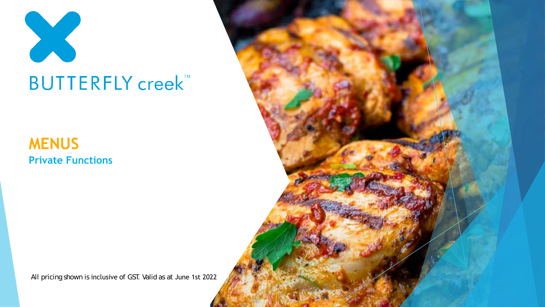

### **MENUS Private Functions**

All pricing shown is inclusive of GST. Valid as at June 1st 2022

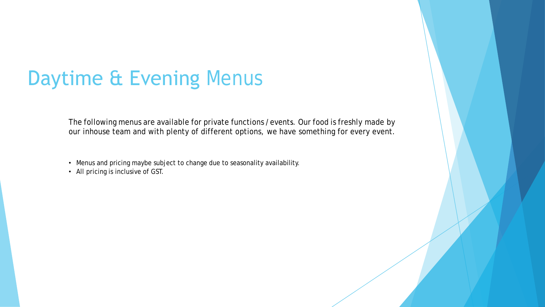# Daytime & Evening Menus

The following menus are available for private functions /events. Our food is freshly made by our inhouse team and with plenty of different options, we have something for every event.

- Menus and pricing maybe subject to change due to seasonality availability.
- All pricing is inclusive of GST.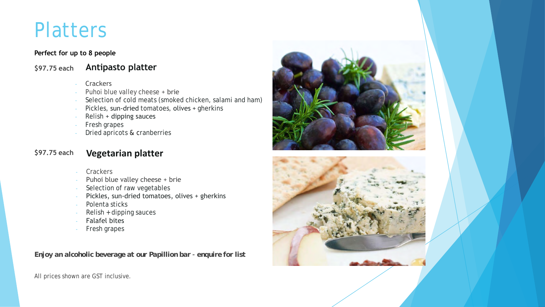### **Platters**

#### **Perfect for up to 8 people**

**\$97.75 each Antipasto platter**

- **Crackers**
- Puhoi blue valley cheese + brie
- Selection of cold meats (smoked chicken, salami and ham)
- Pickles, sun-dried tomatoes, olives + gherkins
- Relish + dipping sauces
- Fresh grapes
- Dried apricots & cranberries

#### **\$97.<sup>75</sup> each Vegetarian platter**

- **Crackers**
- Puhoi blue valley cheese + brie
- Selection of raw vegetables
- Pickles, sun-dried tomatoes, olives + gherkins
- Polenta sticks
- Relish + dipping sauces
- Falafel bites
- Fresh grapes

*Enjoy an alcoholic beverage at our Papillion bar – enquire for list*



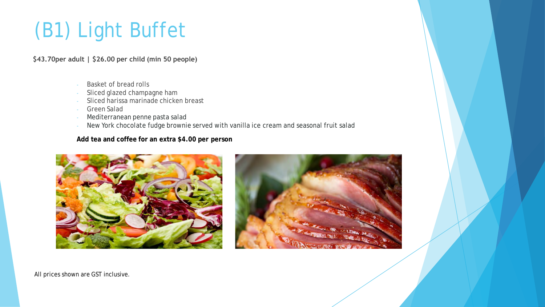# (B1) Light Buffet

**\$43.70per adult | \$26.00 per child (min 50 people)**

- Basket of bread rolls
- Sliced glazed champagne ham
- Sliced harissa marinade chicken breast
- Green Salad
- Mediterranean penne pasta salad
- New York chocolate fudge brownie served with vanilla ice cream and seasonal fruit salad

**Add tea and coffee for an extra \$4.00 per person**



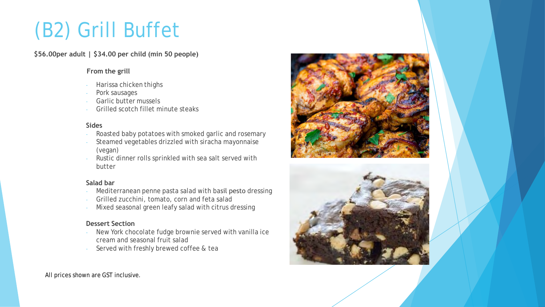# (B2) Grill Buffet

**\$56.00per adult | \$34.00 per child (min 50 people)**

#### **From the grill**

- Harissa chicken thighs
- Pork sausages
- Garlic butter mussels
- Grilled scotch fillet minute steaks

#### **Sides**

- Roasted baby potatoes with smoked garlic and rosemary
- Steamed vegetables drizzled with siracha mayonnaise (vegan)
- Rustic dinner rolls sprinkled with sea salt served with butter

#### **Salad bar**

- Mediterranean penne pasta salad with basil pesto dressing
- Grilled zucchini, tomato, corn and feta salad
- Mixed seasonal green leafy salad with citrus dressing

#### **Dessert Section**

- New York chocolate fudge brownie served with vanilla ice cream and seasonal fruit salad
- Served with freshly brewed coffee & tea



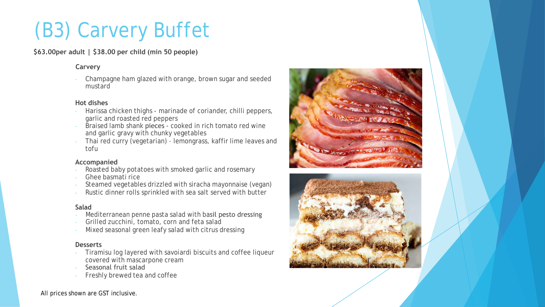# (B3) Carvery Buffet

**\$63.00per adult | \$38.00 per child (min 50 people)**

#### **Carvery**

- Champagne ham glazed with orange, brown sugar and seeded mustard

#### **Hot dishes**

- Harissa chicken thighs marinade of coriander, chilli peppers, garlic and roasted red peppers
- Braised lamb shank pieces cooked in rich tomato red wine and garlic gravy with chunky vegetables
- Thai red curry (vegetarian) lemongrass, kaffir lime leaves and tofu

#### **Accompanied**

- Roasted baby potatoes with smoked garlic and rosemary
- Ghee basmati rice
- Steamed vegetables drizzled with siracha mayonnaise (vegan)
- Rustic dinner rolls sprinkled with sea salt served with butter

#### **Salad**

- Mediterranean penne pasta salad with basil pesto dressing
- Grilled zucchini, tomato, corn and feta salad
- Mixed seasonal green leafy salad with citrus dressing

#### **Desserts**

- Tiramisu log layered with savoiardi biscuits and coffee liqueur covered with mascarpone cream
- Seasonal fruit salad
- Freshly brewed tea and coffee

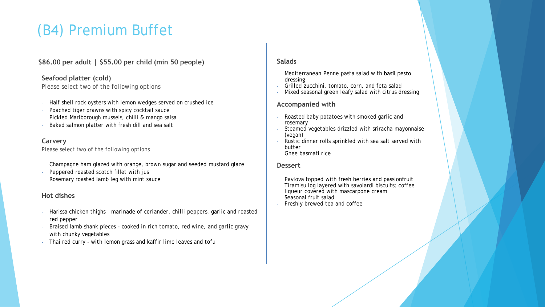### (B4) Premium Buffet

#### **\$86.00 per adult | \$55.00 per child (min 50 people)**

#### **Seafood platter (cold)**

*Please select two of the following options*

- Half shell rock oysters with lemon wedges served on crushed ice
- Poached tiger prawns with spicy cocktail sauce
- Pickled Marlborough mussels, chilli & mango salsa
- Baked salmon platter with fresh dill and sea salt

#### **Carvery**

*Please select two of the following options*

- Champagne ham glazed with orange, brown sugar and seeded mustard glaze
- Peppered roasted scotch fillet with jus
- Rosemary roasted lamb leg with mint sauce

#### **Hot dishes**

- Harissa chicken thighs *marinade of coriander, chilli peppers, garlic and roasted red pepper*
- Braised lamb shank pieces *cooked in rich tomato, red wine, and garlic gravy with chunky vegetables*
- Thai red curry *- with lemon grass and kaffir lime leaves and tofu*

#### **Salads**

- Mediterranean Penne pasta salad with basil pesto dressing
- Grilled zucchini, tomato, corn, and feta salad
- Mixed seasonal green leafy salad with citrus dressing

#### **Accompanied with**

- Roasted baby potatoes with smoked garlic and rosemary
- Steamed vegetables drizzled with sriracha mayonnaise (vegan)
- Rustic dinner rolls sprinkled with sea salt served with butter
- Ghee basmati rice

#### **Dessert**

- Pavlova topped with fresh berries and passionfruit
- Tiramisu log layered with savoiardi biscuits; coffee liqueur covered with mascarpone cream
- Seasonal fruit salad
- Freshly brewed tea and coffee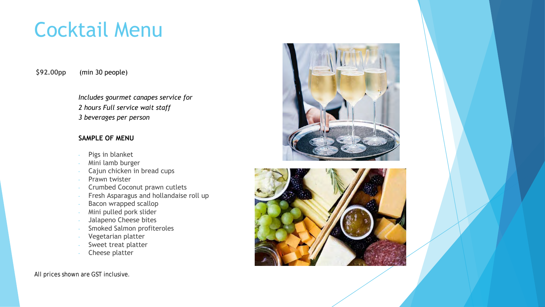# Cocktail Menu

**\$92.00pp** (min 30 people)

> *Includes gourmet canapes service for 2 hours Full service wait staff 3 beverages per person*

#### **SAMPLE OF MENU**

- Pigs in blanket
- Mini lamb burger
- Cajun chicken in bread cups
- Prawn twister
- Crumbed Coconut prawn cutlets
- Fresh Asparagus and hollandaise roll up
- Bacon wrapped scallop
- Mini pulled pork slider
- Jalapeno Cheese bites
- Smoked Salmon profiteroles
- Vegetarian platter
- Sweet treat platter
- Cheese platter